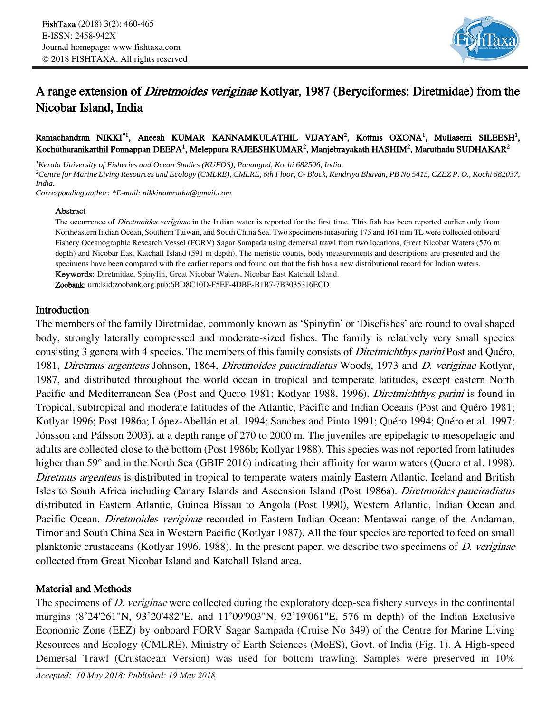

# A range extension of Diretmoides veriginae Kotlyar, 1987 (Beryciformes: Diretmidae) from the Nicobar Island, India

#### Ramachandran NIKKI<sup>\*1</sup>, Aneesh KUMAR KANNAMKULATHIL VIJAYAN<sup>2</sup>, Kottnis OXONA<sup>1</sup>, Mullaserri SILEESH<sup>1</sup>, Kochutharanikarthil Ponnappan DEEPA<sup>1</sup>, Meleppura RAJEESHKUMAR<sup>2</sup>, Manjebrayakath HASHIM<sup>2</sup>, Maruthadu SUDHAKAR<sup>2</sup>

*<sup>1</sup>Kerala University of Fisheries and Ocean Studies (KUFOS), Panangad, Kochi 682506, India. <sup>2</sup>Centre for Marine Living Resources and Ecology (CMLRE), CMLRE, 6th Floor, C- Block, Kendriya Bhavan, PB No 5415, CZEZ P. O., Kochi 682037, India.*

*Corresponding author: \*E-mail: nikkinamratha@gmail.com*

#### Abstract

The occurrence of Diretmoides veriginae in the Indian water is reported for the first time. This fish has been reported earlier only from Northeastern Indian Ocean, Southern Taiwan, and South China Sea. Two specimens measuring 175 and 161 mm TL were collected onboard Fishery Oceanographic Research Vessel (FORV) Sagar Sampada using demersal trawl from two locations, Great Nicobar Waters (576 <sup>m</sup> depth) and Nicobar East Katchall Island (591 m depth). The meristic counts, body measurements and descriptions are presented and the specimens have been compared with the earlier reports and found out that the fish has a new distributional record for Indian waters. Keywords: Diretmidae, Spinyfin, Great Nicobar Waters, Nicobar East Katchall Island.

Zoobank: urn:lsid:zoobank.org:pub:6BD8C10D-F5EF-4DBE-B1B7-7B3035316ECD

## Introduction

The members of the family Diretmidae, commonly known as 'Spinyfin' or 'Discfishes' are round to oval shaped body, strongly laterally compressed and moderate-sized fishes. The family is relatively very small species consisting 3 genera with 4 species. The members of this family consists of Diretmichthys parini Post and Quéro, 1981, Diretmus argenteus Johnson, 1864, Diretmoides pauciradiatus Woods, 1973 and D. veriginae Kotlyar, 1987, and distributed throughout the world ocean in tropical and temperate latitudes, except eastern North Pacific and Mediterranean Sea (Post and Quero 1981; Kotlyar 1988, 1996). Diretmichthys parini is found in Tropical, subtropical and moderate latitudes of the Atlantic, Pacific and Indian Oceans (Post and Quéro 1981; Kotlyar 1996; Post 1986a; López-Abellán et al. 1994; Sanches and Pinto 1991; Quéro 1994; Quéro et al. 1997; Jónsson and Pálsson 2003), at a depth range of 270 to 2000 m. The juveniles are epipelagic to mesopelagic and adults are collected close to the bottom (Post 1986b; Kotlyar 1988). This species was not reported from latitudes higher than 59° and in the North Sea (GBIF 2016) indicating their affinity for warm waters (Quero et al. 1998). Diretmus argenteus is distributed in tropical to temperate waters mainly Eastern Atlantic, Iceland and British Isles to South Africa including Canary Islands and Ascension Island (Post 1986a). Diretmoides pauciradiatus distributed in Eastern Atlantic, Guinea Bissau to Angola (Post 1990), Western Atlantic, Indian Ocean and Pacific Ocean. *Diretmoides veriginae* recorded in Eastern Indian Ocean: Mentawai range of the Andaman, Timor and South China Sea in Western Pacific (Kotlyar 1987). All the four species are reported to feed on small planktonic crustaceans (Kotlyar 1996, 1988). In the present paper, we describe two specimens of D. veriginae collected from Great Nicobar Island and Katchall Island area.

## Material and Methods

The specimens of *D. veriginae* were collected during the exploratory deep-sea fishery surveys in the continental margins (8˚24'261"N, 93˚20'482"E, and 11˚09'903"N, 92˚19'061"E, 576 m depth) of the Indian Exclusive Economic Zone (EEZ) by onboard FORV Sagar Sampada (Cruise No 349) of the Centre for Marine Living Resources and Ecology (CMLRE), Ministry of Earth Sciences (MoES), Govt. of India (Fig. 1). A High-speed Demersal Trawl (Crustacean Version) was used for bottom trawling. Samples were preserved in 10%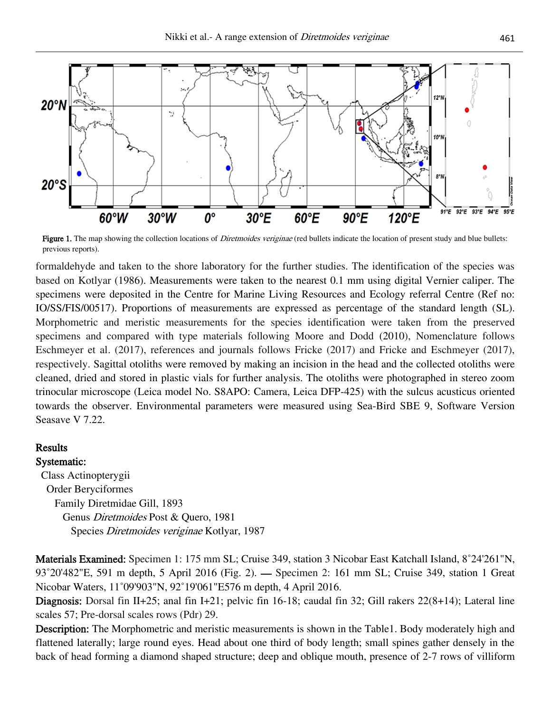

Figure 1. The map showing the collection locations of *Diretmoides veriginae* (red bullets indicate the location of present study and blue bullets: previous reports).

formaldehyde and taken to the shore laboratory for the further studies. The identification of the species was based on Kotlyar (1986). Measurements were taken to the nearest 0.1 mm using digital Vernier caliper. The specimens were deposited in the Centre for Marine Living Resources and Ecology referral Centre (Ref no: IO/SS/FIS/00517). Proportions of measurements are expressed as percentage of the standard length (SL). Morphometric and meristic measurements for the species identification were taken from the preserved specimens and compared with type materials following Moore and Dodd (2010), Nomenclature follows Eschmeyer et al. (2017), references and journals follows Fricke (2017) and Fricke and Eschmeyer (2017), respectively. Sagittal otoliths were removed by making an incision in the head and the collected otoliths were cleaned, dried and stored in plastic vials for further analysis. The otoliths were photographed in stereo zoom trinocular microscope (Leica model No. S8APO: Camera, Leica DFP-425) with the sulcus acusticus oriented towards the observer. Environmental parameters were measured using Sea-Bird SBE 9, Software Version Seasave V 7.22.

#### **Results**

Systematic:

 Class Actinopterygii Order Beryciformes Family Diretmidae Gill, 1893 Genus Diretmoides Post & Quero, 1981 Species Diretmoides veriginae Kotlyar, 1987

Materials Examined: Specimen 1: 175 mm SL; Cruise 349, station 3 Nicobar East Katchall Island, 8˚24'261"N, 93˚20'482"E, 591 m depth, 5 April 2016 (Fig. 2). — Specimen 2: 161 mm SL; Cruise 349, station 1 Great Nicobar Waters, 11˚09'903"N, 92˚19'061"E576 m depth, 4 April 2016.

Diagnosis: Dorsal fin II+25; anal fin I+21; pelvic fin 16-18; caudal fin 32; Gill rakers  $22(8+14)$ ; Lateral line scales 57; Pre-dorsal scales rows (Pdr) 29.

Description: The Morphometric and meristic measurements is shown in the Table1. Body moderately high and flattened laterally; large round eyes. Head about one third of body length; small spines gather densely in the back of head forming a diamond shaped structure; deep and oblique mouth, presence of 2-7 rows of villiform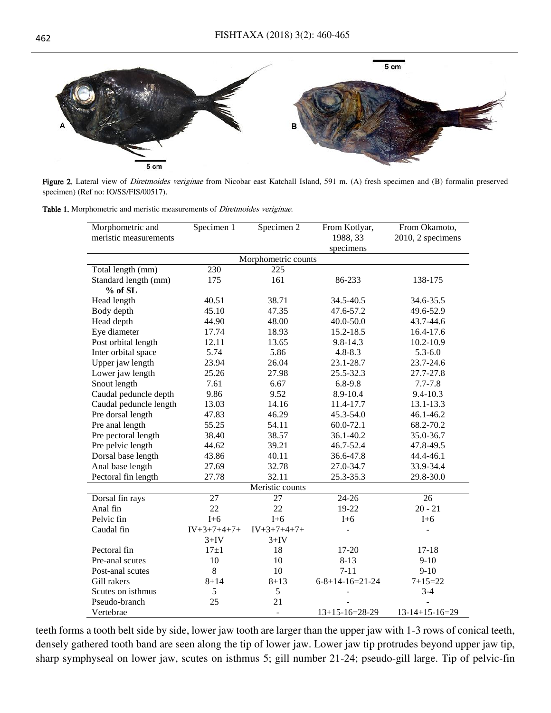

Figure 2. Lateral view of Diretmoides veriginae from Nicobar east Katchall Island, 591 m. (A) fresh specimen and (B) formalin preserved specimen) (Ref no: IO/SS/FIS/00517).

Table 1. Morphometric and meristic measurements of *Diretmoides veriginae*.

| Morphometric and<br>meristic measurements | Specimen 1    | Specimen $2$  | From Kotlyar,<br>1988, 33   | From Okamoto,<br>2010, 2 specimens |  |
|-------------------------------------------|---------------|---------------|-----------------------------|------------------------------------|--|
|                                           |               |               | specimens                   |                                    |  |
| Morphometric counts                       |               |               |                             |                                    |  |
| Total length (mm)                         | 230           | 225           |                             |                                    |  |
| Standard length (mm)                      | 175           | 161           | 86-233                      | 138-175                            |  |
| % of SL                                   |               |               |                             |                                    |  |
| Head length                               | 40.51         | 38.71         | 34.5-40.5                   | 34.6-35.5                          |  |
| Body depth                                | 45.10         | 47.35         | 47.6-57.2                   | 49.6-52.9                          |  |
| Head depth                                | 44.90         | 48.00         | $40.0 - 50.0$               | 43.7-44.6                          |  |
| Eye diameter                              | 17.74         | 18.93         | 15.2-18.5                   | 16.4-17.6                          |  |
| Post orbital length                       | 12.11         | 13.65         | $9.8 - 14.3$                | 10.2-10.9                          |  |
| Inter orbital space                       | 5.74          | 5.86          | $4.8 - 8.3$                 | $5.3 - 6.0$                        |  |
| Upper jaw length                          | 23.94         | 26.04         | 23.1-28.7                   | 23.7-24.6                          |  |
| Lower jaw length                          | 25.26         | 27.98         | 25.5-32.3                   | 27.7-27.8                          |  |
| Snout length                              | 7.61          | 6.67          | $6.8 - 9.8$                 | $7.7 - 7.8$                        |  |
| Caudal peduncle depth                     | 9.86          | 9.52          | 8.9-10.4                    | $9.4 - 10.3$                       |  |
| Caudal peduncle length                    | 13.03         | 14.16         | 11.4-17.7                   | 13.1-13.3                          |  |
| Pre dorsal length                         | 47.83         | 46.29         | 45.3-54.0                   | 46.1-46.2                          |  |
| Pre anal length                           | 55.25         | 54.11         | 60.0-72.1                   | 68.2-70.2                          |  |
| Pre pectoral length                       | 38.40         | 38.57         | 36.1-40.2                   | 35.0-36.7                          |  |
| Pre pelvic length                         | 44.62         | 39.21         | 46.7-52.4                   | 47.8-49.5                          |  |
| Dorsal base length                        | 43.86         | 40.11         | 36.6-47.8                   | 44.4-46.1                          |  |
| Anal base length                          | 27.69         | 32.78         | 27.0-34.7                   | 33.9-34.4                          |  |
| Pectoral fin length                       | 27.78         | 32.11         | 25.3-35.3                   | 29.8-30.0                          |  |
| Meristic counts                           |               |               |                             |                                    |  |
| Dorsal fin rays                           | 27            | 27            | $24 - 26$                   | 26                                 |  |
| Anal fin                                  | 22            | 22            | 19-22                       | $20 - 21$                          |  |
| Pelvic fin                                | $I+6$         | $I+6$         | $I+6$                       | $I+6$                              |  |
| Caudal fin                                | $IV+3+7+4+7+$ | $IV+3+7+4+7+$ |                             |                                    |  |
|                                           | $3+IV$        | $3+IV$        |                             |                                    |  |
| Pectoral fin                              | $17\pm1$      | 18            | 17-20                       | $17 - 18$                          |  |
| Pre-anal scutes                           | 10            | 10            | $8 - 13$                    | $9-10$                             |  |
| Post-anal scutes                          | $8\,$         | 10            | $7 - 11$                    | $9-10$                             |  |
| Gill rakers                               | $8 + 14$      | $8 + 13$      | $6 - 8 + 14 - 16 = 21 - 24$ | $7 + 15 = 22$                      |  |
| Scutes on isthmus                         | 5             | 5             |                             | $3-4$                              |  |
| Pseudo-branch                             | 25            | 21            |                             |                                    |  |
| Vertebrae                                 |               | ٠             | $13+15-16=28-29$            | $13-14+15-16=29$                   |  |

teeth forms a tooth belt side by side, lower jaw tooth are larger than the upper jaw with 1-3 rows of conical teeth, densely gathered tooth band are seen along the tip of lower jaw. Lower jaw tip protrudes beyond upper jaw tip, sharp symphyseal on lower jaw, scutes on isthmus 5; gill number 21-24; pseudo-gill large. Tip of pelvic-fin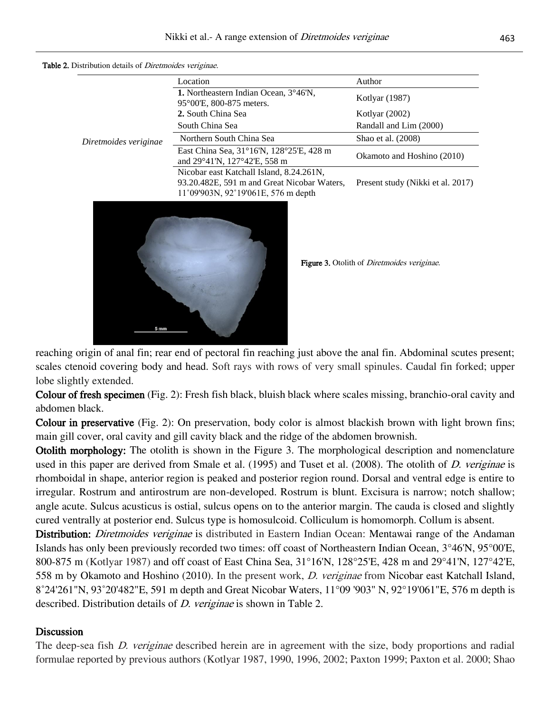|                       | Location                                                                                                                       | Author                            |  |
|-----------------------|--------------------------------------------------------------------------------------------------------------------------------|-----------------------------------|--|
| Diretmoides veriginae | <b>1.</b> Northeastern Indian Ocean, $3^{\circ}46^{\prime}$ N,<br>95°00'E, 800-875 meters.                                     | Kotlyar (1987)                    |  |
|                       | 2. South China Sea                                                                                                             | Kotlyar $(2002)$                  |  |
|                       | South China Sea                                                                                                                | Randall and Lim (2000)            |  |
|                       | Northern South China Sea                                                                                                       | Shao et al. (2008)                |  |
|                       | East China Sea, 31°16′N, 128°25′E, 428 m<br>and $29^{\circ}41^{\prime}N$ , $127^{\circ}42^{\prime}E$ , 558 m                   | Okamoto and Hoshino (2010)        |  |
|                       | Nicobar east Katchall Island, 8.24.261N,<br>93.20.482E, 591 m and Great Nicobar Waters,<br>11°09'903N, 92°19'061E, 576 m depth | Present study (Nikki et al. 2017) |  |

Table 2. Distribution details of *Diretmoides veriginae*.



reaching origin of anal fin; rear end of pectoral fin reaching just above the anal fin. Abdominal scutes present; scales ctenoid covering body and head. Soft rays with rows of very small spinules. Caudal fin forked; upper lobe slightly extended.

Colour of fresh specimen (Fig. 2): Fresh fish black, bluish black where scales missing, branchio-oral cavity and abdomen black.

Colour in preservative (Fig. 2): On preservation, body color is almost blackish brown with light brown fins; main gill cover, oral cavity and gill cavity black and the ridge of the abdomen brownish.

Otolith morphology: The otolith is shown in the Figure 3. The morphological description and nomenclature used in this paper are derived from Smale et al. (1995) and Tuset et al. (2008). The otolith of *D. veriginae* is rhomboidal in shape, anterior region is peaked and posterior region round. Dorsal and ventral edge is entire to irregular. Rostrum and antirostrum are non-developed. Rostrum is blunt. Excisura is narrow; notch shallow; angle acute. Sulcus acusticus is ostial, sulcus opens on to the anterior margin. The cauda is closed and slightly cured ventrally at posterior end. Sulcus type is homosulcoid. Colliculum is homomorph. Collum is absent.

Distribution: *Diretmoides veriginae* is distributed in Eastern Indian Ocean: Mentawai range of the Andaman Islands has only been previously recorded two times: off coast of Northeastern Indian Ocean, 3°46'N, 95°00'E, 800-875 m (Kotlyar 1987) and off coast of East China Sea, 31°16'N, 128°25'E, 428 m and 29°41'N, 127°42'E, 558 m by Okamoto and Hoshino (2010). In the present work, D. veriginae from Nicobar east Katchall Island, 8˚24'261"N, 93˚20'482"E, 591 m depth and Great Nicobar Waters, 11°09 '903" N, 92°19'061"E, 576 m depth is described. Distribution details of *D. veriginae* is shown in Table 2.

## **Discussion**

The deep-sea fish *D. veriginae* described herein are in agreement with the size, body proportions and radial formulae reported by previous authors (Kotlyar 1987, 1990, 1996, 2002; Paxton 1999; Paxton et al. 2000; Shao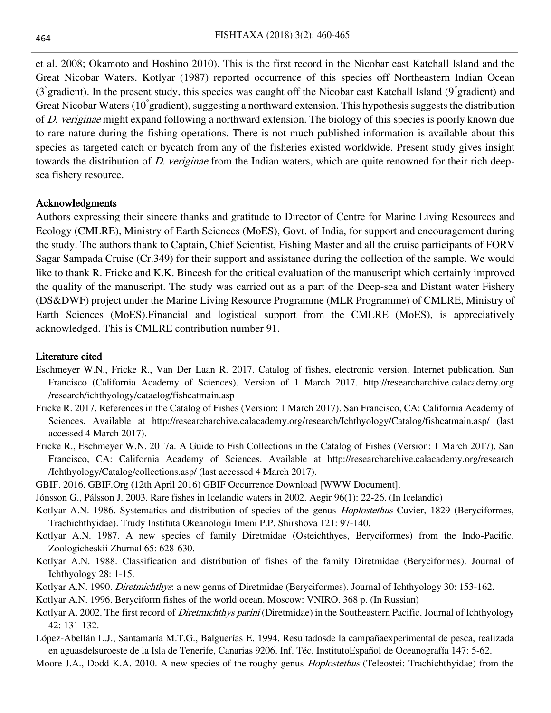et al. 2008; Okamoto and Hoshino 2010). This is the first record in the Nicobar east Katchall Island and the Great Nicobar Waters. Kotlyar (1987) reported occurrence of this species off Northeastern Indian Ocean (3° gradient). In the present study, this species was caught off the Nicobar east Katchall Island (9° gradient) and Great Nicobar Waters (10<sup>°</sup> gradient), suggesting a northward extension. This hypothesis suggests the distribution of D. veriginae might expand following a northward extension. The biology of this species is poorly known due to rare nature during the fishing operations. There is not much published information is available about this species as targeted catch or bycatch from any of the fisheries existed worldwide. Present study gives insight towards the distribution of *D. veriginae* from the Indian waters, which are quite renowned for their rich deepsea fishery resource.

# Acknowledgments

Authors expressing their sincere thanks and gratitude to Director of Centre for Marine Living Resources and Ecology (CMLRE), Ministry of Earth Sciences (MoES), Govt. of India, for support and encouragement during the study. The authors thank to Captain, Chief Scientist, Fishing Master and all the cruise participants of FORV Sagar Sampada Cruise (Cr.349) for their support and assistance during the collection of the sample. We would like to thank R. Fricke and K.K. Bineesh for the critical evaluation of the manuscript which certainly improved the quality of the manuscript. The study was carried out as a part of the Deep-sea and Distant water Fishery (DS&DWF) project under the Marine Living Resource Programme (MLR Programme) of CMLRE, Ministry of Earth Sciences (MoES).Financial and logistical support from the CMLRE (MoES), is appreciatively acknowledged. This is CMLRE contribution number 91.

## Literature cited

- Eschmeyer W.N., Fricke R., Van Der Laan R. 2017. Catalog of fishes, electronic version. Internet publication, San Francisco (California Academy of Sciences). Version of 1 March 2017. http://researcharchive.calacademy.org /research/ichthyology/cataelog/fishcatmain.asp
- Fricke R. 2017. References in the Catalog of Fishes (Version: 1 March 2017). San Francisco, CA: California Academy of Sciences. Available at http://researcharchive.calacademy.org/research/Ichthyology/Catalog/fishcatmain.asp/ (last accessed 4 March 2017).
- Fricke R., Eschmeyer W.N. 2017a. A Guide to Fish Collections in the Catalog of Fishes (Version: 1 March 2017). San Francisco, CA: California Academy of Sciences. Available at http://researcharchive.calacademy.org/research /Ichthyology/Catalog/collections.asp/ (last accessed 4 March 2017).
- GBIF. 2016. GBIF.Org (12th April 2016) GBIF Occurrence Download [WWW Document].
- Jónsson G., Pálsson J. 2003. Rare fishes in Icelandic waters in 2002. Aegir 96(1): 22-26. (In Icelandic)
- Kotlyar A.N. 1986. Systematics and distribution of species of the genus *Hoplostethus* Cuvier, 1829 (Beryciformes, Trachichthyidae). Trudy Instituta Okeanologii Imeni P.P. Shirshova 121: 97-140.
- Kotlyar A.N. 1987. A new species of family Diretmidae (Osteichthyes, Beryciformes) from the Indo-Pacific. Zoologicheskii Zhurnal 65: 628-630.
- Kotlyar A.N. 1988. Classification and distribution of fishes of the family Diretmidae (Beryciformes). Journal of Ichthyology 28: 1-15.
- Kotlyar A.N. 1990. Diretmichthys: a new genus of Diretmidae (Beryciformes). Journal of Ichthyology 30: 153-162.
- Kotlyar A.N. 1996. Beryciform fishes of the world ocean. Moscow: VNIRO. 368 p. (In Russian)
- Kotlyar A. 2002. The first record of *Diretmichthys parini* (Diretmidae) in the Southeastern Pacific. Journal of Ichthyology 42: 131-132.
- López-Abellán L.J., Santamaría M.T.G., Balguerías E. 1994. Resultadosde la campañaexperimental de pesca, realizada en aguasdelsuroeste de la Isla de Tenerife, Canarias 9206. Inf. Téc. InstitutoEspañol de Oceanografía 147: 5-62.
- Moore J.A., Dodd K.A. 2010. A new species of the roughy genus *Hoplostethus* (Teleostei: Trachichthyidae) from the